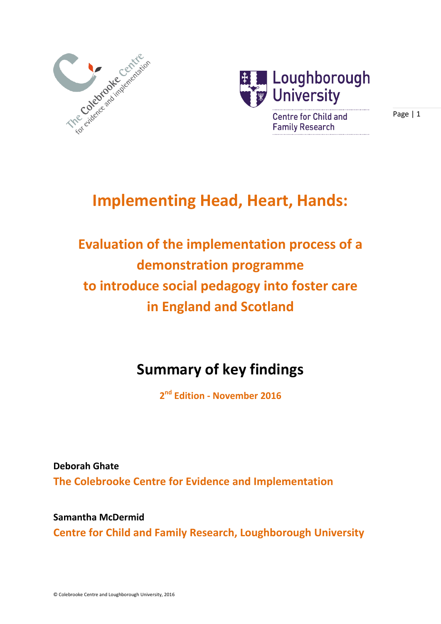



# Page | 1

# **Implementing Head, Heart, Hands:**

# **Evaluation of the implementation process of a demonstration programme to introduce social pedagogy into foster care in England and Scotland**

# **Summary of key findings**

**2 nd Edition - November 2016** 

**Deborah Ghate The Colebrooke Centre for Evidence and Implementation** 

**Samantha McDermid Centre for Child and Family Research, Loughborough University**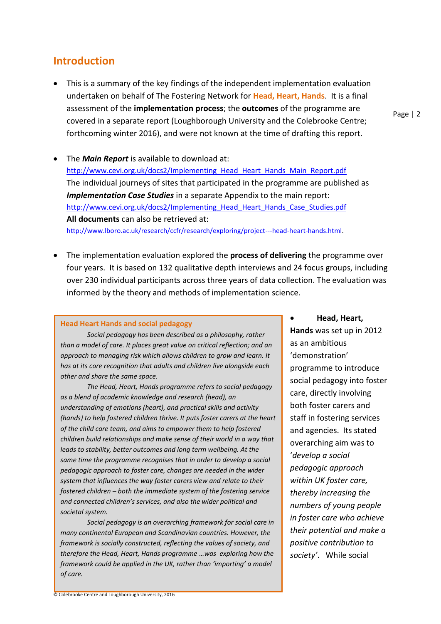#### © Colebrooke Centre and Loughborough University, 2016

### **Introduction**

- This is a summary of the key findings of the independent implementation evaluation undertaken on behalf of The Fostering Network for **Head, Heart, Hands**. It is a final assessment of the **implementation process**; the **outcomes** of the programme are covered in a separate report (Loughborough University and the Colebrooke Centre; forthcoming winter 2016), and were not known at the time of drafting this report.
- The *Main Report* is available to download at: [http://www.cevi.org.uk/docs2/Implementing\\_Head\\_Heart\\_Hands\\_Main\\_Report.pdf](http://www.cevi.org.uk/docs2/Implementing_Head_Heart_Hands_Main_Report.pdf) The individual journeys of sites that participated in the programme are published as *Implementation Case Studies* in a separate Appendix to the main report: [http://www.cevi.org.uk/docs2/Implementing\\_Head\\_Heart\\_Hands\\_Case\\_Studies.pdf](http://www.cevi.org.uk/docs2/Implementing_Head_Heart_Hands_Case_Studies.pdf) **All documents** can also be retrieved at: [http://www.lboro.ac.uk/research/ccfr/research/exploring/project---head-heart-hands.html.](http://www.lboro.ac.uk/research/ccfr/research/exploring/project---head-heart-hands.html)
- The implementation evaluation explored the **process of delivering** the programme over four years. It is based on 132 qualitative depth interviews and 24 focus groups, including over 230 individual participants across three years of data collection. The evaluation was informed by the theory and methods of implementation science.

#### **Head Heart Hands and social pedagogy**

*Social pedagogy has been described as a philosophy, rather than a model of care. It places great value on critical reflection; and an approach to managing risk which allows children to grow and learn. It has at its core recognition that adults and children live alongside each other and share the same space.* 

*The Head, Heart, Hands programme refers to social pedagogy as a blend of academic knowledge and research (head), an understanding of emotions (heart), and practical skills and activity (hands) to help fostered children thrive. It puts foster carers at the heart of the child care team, and aims to empower them to help fostered children build relationships and make sense of their world in a way that leads to stability, better outcomes and long term wellbeing. At the same time the programme recognises that in order to develop a social pedagogic approach to foster care, changes are needed in the wider system that influences the way foster carers view and relate to their fostered children – both the immediate system of the fostering service and connected children's services, and also the wider political and societal system.* 

*Social pedagogy is an overarching framework for social care in many continental European and Scandinavian countries. However, the framework is socially constructed, reflecting the values of society, and therefore the Head, Heart, Hands programme …was exploring how the framework could be applied in the UK, rather than 'importing' a model of care.* 

 **Head, Heart, Hands** was set up in 2012 as an ambitious 'demonstration' programme to introduce social pedagogy into foster care, directly involving both foster carers and staff in fostering services and agencies. Its stated overarching aim was to '*develop a social pedagogic approach within UK foster care, thereby increasing the numbers of young people in foster care who achieve their potential and make a positive contribution to society'*. While social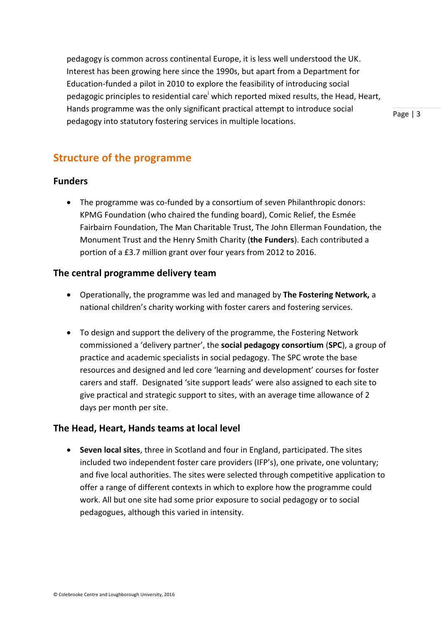pedagogy is common across continental Europe, it is less well understood the UK. Interest has been growing here since the 1990s, but apart from a Department for Education-funded a pilot in 2010 to explore the feasibility of introducing social pedagogic principles to residential care<sup>i</sup> which reported mixed results, the Head, Heart, Hands programme was the only significant practical attempt to introduce social pedagogy into statutory fostering services in multiple locations.

Page | 3

# **Structure of the programme**

## **Funders**

• The programme was co-funded by a consortium of seven Philanthropic donors: KPMG Foundation (who chaired the funding board), Comic Relief, the Esmée Fairbairn Foundation, The Man Charitable Trust, The John Ellerman Foundation, the Monument Trust and the Henry Smith Charity (**the Funders**). Each contributed a portion of a £3.7 million grant over four years from 2012 to 2016.

## **The central programme delivery team**

- Operationally, the programme was led and managed by **The Fostering Network,** a national children's charity working with foster carers and fostering services.
- To design and support the delivery of the programme, the Fostering Network commissioned a 'delivery partner', the **social pedagogy consortium** (**SPC**), a group of practice and academic specialists in social pedagogy. The SPC wrote the base resources and designed and led core 'learning and development' courses for foster carers and staff. Designated 'site support leads' were also assigned to each site to give practical and strategic support to sites, with an average time allowance of 2 days per month per site.

## **The Head, Heart, Hands teams at local level**

 **Seven local sites**, three in Scotland and four in England, participated. The sites included two independent foster care providers (IFP's), one private, one voluntary; and five local authorities. The sites were selected through competitive application to offer a range of different contexts in which to explore how the programme could work. All but one site had some prior exposure to social pedagogy or to social pedagogues, although this varied in intensity.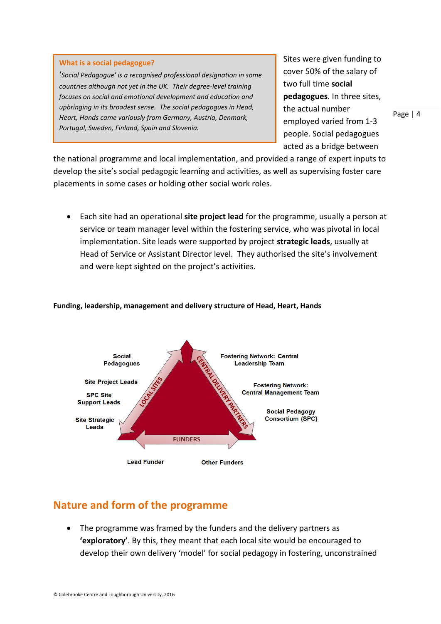#### **What is a social pedagogue?**

'*Social Pedagogue' is a recognised professional designation in some countries although not yet in the UK. Their degree-level training focuses on social and emotional development and education and upbringing in its broadest sense. The social pedagogues in Head, Heart, Hands came variously from Germany, Austria, Denmark, Portugal, Sweden, Finland, Spain and Slovenia.*

Sites were given funding to cover 50% of the salary of two full time **social pedagogues**. In three sites, the actual number employed varied from 1-3 people. Social pedagogues acted as a bridge between

the national programme and local implementation, and provided a range of expert inputs to develop the site's social pedagogic learning and activities, as well as supervising foster care placements in some cases or holding other social work roles.

 Each site had an operational **site project lead** for the programme, usually a person at service or team manager level within the fostering service, who was pivotal in local implementation. Site leads were supported by project **strategic leads**, usually at Head of Service or Assistant Director level. They authorised the site's involvement and were kept sighted on the project's activities.



#### **Funding, leadership, management and delivery structure of Head, Heart, Hands**

## **Nature and form of the programme**

• The programme was framed by the funders and the delivery partners as **'exploratory'**. By this, they meant that each local site would be encouraged to develop their own delivery 'model' for social pedagogy in fostering, unconstrained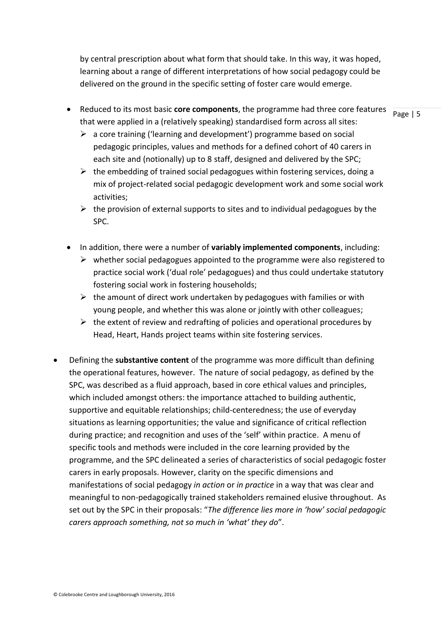by central prescription about what form that should take. In this way, it was hoped, learning about a range of different interpretations of how social pedagogy could be delivered on the ground in the specific setting of foster care would emerge.

- Reduced to its most basic **core components**, the programme had three core features that were applied in a (relatively speaking) standardised form across all sites:
	- $\geq$  a core training ('learning and development') programme based on social pedagogic principles, values and methods for a defined cohort of 40 carers in each site and (notionally) up to 8 staff, designed and delivered by the SPC;
	- $\triangleright$  the embedding of trained social pedagogues within fostering services, doing a mix of project-related social pedagogic development work and some social work activities;
	- $\triangleright$  the provision of external supports to sites and to individual pedagogues by the SPC.
- In addition, there were a number of **variably implemented components**, including:
	- $\triangleright$  whether social pedagogues appointed to the programme were also registered to practice social work ('dual role' pedagogues) and thus could undertake statutory fostering social work in fostering households;
	- $\triangleright$  the amount of direct work undertaken by pedagogues with families or with young people, and whether this was alone or jointly with other colleagues;
	- $\triangleright$  the extent of review and redrafting of policies and operational procedures by Head, Heart, Hands project teams within site fostering services.
- Defining the **substantive content** of the programme was more difficult than defining the operational features, however. The nature of social pedagogy, as defined by the SPC, was described as a fluid approach, based in core ethical values and principles, which included amongst others: the importance attached to building authentic, supportive and equitable relationships; child-centeredness; the use of everyday situations as learning opportunities; the value and significance of critical reflection during practice; and recognition and uses of the 'self' within practice. A menu of specific tools and methods were included in the core learning provided by the programme, and the SPC delineated a series of characteristics of social pedagogic foster carers in early proposals. However, clarity on the specific dimensions and manifestations of social pedagogy *in action* or *in practice* in a way that was clear and meaningful to non-pedagogically trained stakeholders remained elusive throughout. As set out by the SPC in their proposals: "*The difference lies more in 'how' social pedagogic carers approach something, not so much in 'what' they do*".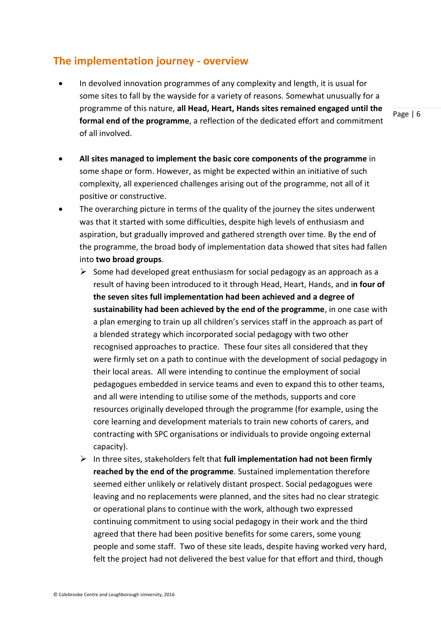# **The implementation journey - overview**

 In devolved innovation programmes of any complexity and length, it is usual for some sites to fall by the wayside for a variety of reasons. Somewhat unusually for a programme of this nature, **all Head, Heart, Hands sites remained engaged until the formal end of the programme**, a reflection of the dedicated effort and commitment of all involved.

- **All sites managed to implement the basic core components of the programme** in some shape or form. However, as might be expected within an initiative of such complexity, all experienced challenges arising out of the programme, not all of it positive or constructive.
- The overarching picture in terms of the quality of the journey the sites underwent was that it started with some difficulties, despite high levels of enthusiasm and aspiration, but gradually improved and gathered strength over time. By the end of the programme, the broad body of implementation data showed that sites had fallen into **two broad groups**.
	- $\triangleright$  Some had developed great enthusiasm for social pedagogy as an approach as a result of having been introduced to it through Head, Heart, Hands, and i**n four of the seven sites full implementation had been achieved and a degree of sustainability had been achieved by the end of the programme**, in one case with a plan emerging to train up all children's services staff in the approach as part of a blended strategy which incorporated social pedagogy with two other recognised approaches to practice. These four sites all considered that they were firmly set on a path to continue with the development of social pedagogy in their local areas. All were intending to continue the employment of social pedagogues embedded in service teams and even to expand this to other teams, and all were intending to utilise some of the methods, supports and core resources originally developed through the programme (for example, using the core learning and development materials to train new cohorts of carers, and contracting with SPC organisations or individuals to provide ongoing external capacity).
	- $\triangleright$  In three sites, stakeholders felt that **full implementation had not been firmly reached by the end of the programme**. Sustained implementation therefore seemed either unlikely or relatively distant prospect. Social pedagogues were leaving and no replacements were planned, and the sites had no clear strategic or operational plans to continue with the work, although two expressed continuing commitment to using social pedagogy in their work and the third agreed that there had been positive benefits for some carers, some young people and some staff. Two of these site leads, despite having worked very hard, felt the project had not delivered the best value for that effort and third, though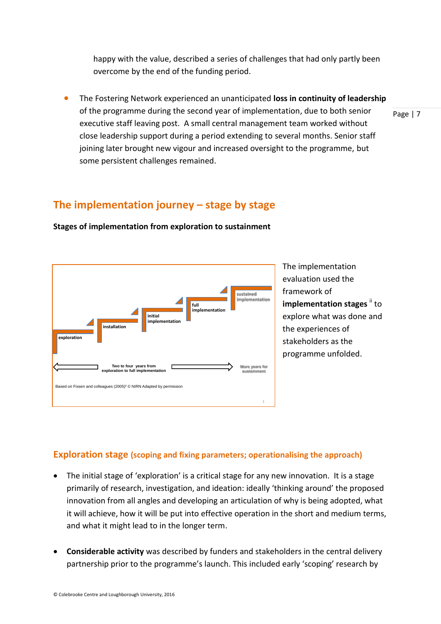happy with the value, described a series of challenges that had only partly been overcome by the end of the funding period.

 The Fostering Network experienced an unanticipated **loss in continuity of leadership**  of the programme during the second year of implementation, due to both senior executive staff leaving post. A small central management team worked without close leadership support during a period extending to several months. Senior staff joining later brought new vigour and increased oversight to the programme, but some persistent challenges remained.

# **The implementation journey – stage by stage**



**Stages of implementation from exploration to sustainment** 

The implementation evaluation used the framework of **implementation stages**  $\mathbf{u}$  to explore what was done and the experiences of stakeholders as the programme unfolded.

Page | 7

## **Exploration stage (scoping and fixing parameters; operationalising the approach)**

- The initial stage of 'exploration' is a critical stage for any new innovation. It is a stage primarily of research, investigation, and ideation: ideally 'thinking around' the proposed innovation from all angles and developing an articulation of why is being adopted, what it will achieve, how it will be put into effective operation in the short and medium terms, and what it might lead to in the longer term.
- **Considerable activity** was described by funders and stakeholders in the central delivery partnership prior to the programme's launch. This included early 'scoping' research by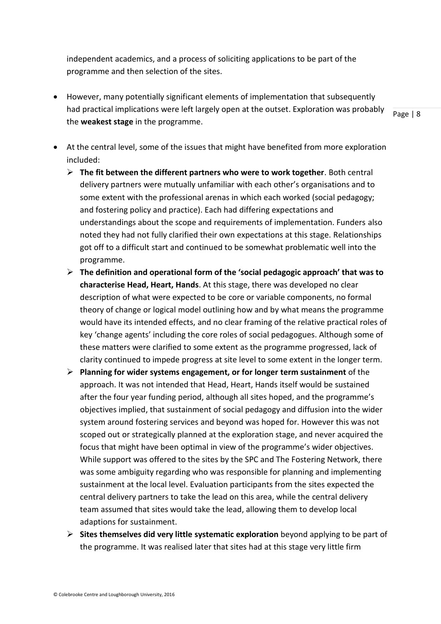independent academics, and a process of soliciting applications to be part of the programme and then selection of the sites.

 However, many potentially significant elements of implementation that subsequently had practical implications were left largely open at the outset. Exploration was probably the **weakest stage** in the programme.

- At the central level, some of the issues that might have benefited from more exploration included:
	- **The fit between the different partners who were to work together**. Both central delivery partners were mutually unfamiliar with each other's organisations and to some extent with the professional arenas in which each worked (social pedagogy; and fostering policy and practice). Each had differing expectations and understandings about the scope and requirements of implementation. Funders also noted they had not fully clarified their own expectations at this stage. Relationships got off to a difficult start and continued to be somewhat problematic well into the programme.
	- **The definition and operational form of the 'social pedagogic approach' that was to characterise Head, Heart, Hands**. At this stage, there was developed no clear description of what were expected to be core or variable components, no formal theory of change or logical model outlining how and by what means the programme would have its intended effects, and no clear framing of the relative practical roles of key 'change agents' including the core roles of social pedagogues. Although some of these matters were clarified to some extent as the programme progressed, lack of clarity continued to impede progress at site level to some extent in the longer term.
	- **Planning for wider systems engagement, or for longer term sustainment** of the approach. It was not intended that Head, Heart, Hands itself would be sustained after the four year funding period, although all sites hoped, and the programme's objectives implied, that sustainment of social pedagogy and diffusion into the wider system around fostering services and beyond was hoped for. However this was not scoped out or strategically planned at the exploration stage, and never acquired the focus that might have been optimal in view of the programme's wider objectives. While support was offered to the sites by the SPC and The Fostering Network, there was some ambiguity regarding who was responsible for planning and implementing sustainment at the local level. Evaluation participants from the sites expected the central delivery partners to take the lead on this area, while the central delivery team assumed that sites would take the lead, allowing them to develop local adaptions for sustainment.
	- **Sites themselves did very little systematic exploration** beyond applying to be part of the programme. It was realised later that sites had at this stage very little firm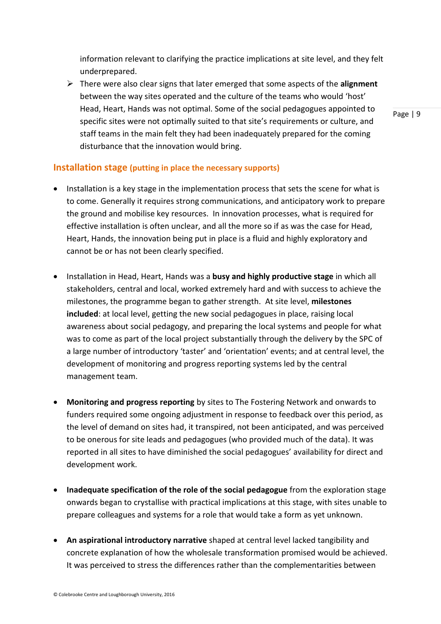information relevant to clarifying the practice implications at site level, and they felt underprepared.

 There were also clear signs that later emerged that some aspects of the **alignment**  between the way sites operated and the culture of the teams who would 'host' Head, Heart, Hands was not optimal. Some of the social pedagogues appointed to specific sites were not optimally suited to that site's requirements or culture, and staff teams in the main felt they had been inadequately prepared for the coming disturbance that the innovation would bring.

Page | 9

### **Installation stage (putting in place the necessary supports)**

- Installation is a key stage in the implementation process that sets the scene for what is to come. Generally it requires strong communications, and anticipatory work to prepare the ground and mobilise key resources. In innovation processes, what is required for effective installation is often unclear, and all the more so if as was the case for Head, Heart, Hands, the innovation being put in place is a fluid and highly exploratory and cannot be or has not been clearly specified.
- Installation in Head, Heart, Hands was a **busy and highly productive stage** in which all stakeholders, central and local, worked extremely hard and with success to achieve the milestones, the programme began to gather strength. At site level, **milestones included**: at local level, getting the new social pedagogues in place, raising local awareness about social pedagogy, and preparing the local systems and people for what was to come as part of the local project substantially through the delivery by the SPC of a large number of introductory 'taster' and 'orientation' events; and at central level, the development of monitoring and progress reporting systems led by the central management team.
- **Monitoring and progress reporting** by sites to The Fostering Network and onwards to funders required some ongoing adjustment in response to feedback over this period, as the level of demand on sites had, it transpired, not been anticipated, and was perceived to be onerous for site leads and pedagogues (who provided much of the data). It was reported in all sites to have diminished the social pedagogues' availability for direct and development work.
- **Inadequate specification of the role of the social pedagogue** from the exploration stage onwards began to crystallise with practical implications at this stage, with sites unable to prepare colleagues and systems for a role that would take a form as yet unknown.
- **An aspirational introductory narrative** shaped at central level lacked tangibility and concrete explanation of how the wholesale transformation promised would be achieved. It was perceived to stress the differences rather than the complementarities between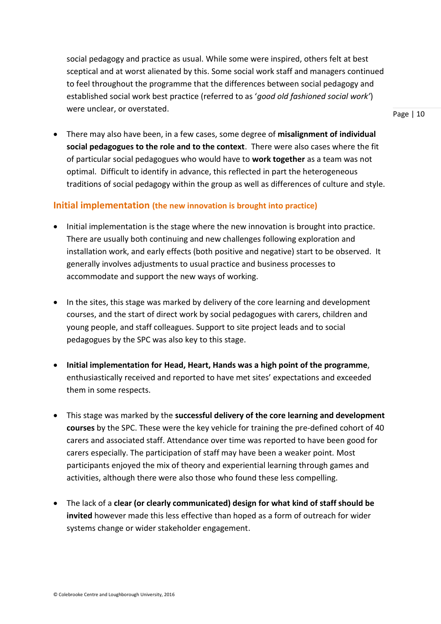social pedagogy and practice as usual. While some were inspired, others felt at best sceptical and at worst alienated by this. Some social work staff and managers continued to feel throughout the programme that the differences between social pedagogy and established social work best practice (referred to as '*good old fashioned social work'*) were unclear, or overstated.

Page | 10

 There may also have been, in a few cases, some degree of **misalignment of individual social pedagogues to the role and to the context**. There were also cases where the fit of particular social pedagogues who would have to **work together** as a team was not optimal. Difficult to identify in advance, this reflected in part the heterogeneous traditions of social pedagogy within the group as well as differences of culture and style.

### **Initial implementation (the new innovation is brought into practice)**

- Initial implementation is the stage where the new innovation is brought into practice. There are usually both continuing and new challenges following exploration and installation work, and early effects (both positive and negative) start to be observed. It generally involves adjustments to usual practice and business processes to accommodate and support the new ways of working.
- In the sites, this stage was marked by delivery of the core learning and development courses, and the start of direct work by social pedagogues with carers, children and young people, and staff colleagues. Support to site project leads and to social pedagogues by the SPC was also key to this stage.
- **Initial implementation for Head, Heart, Hands was a high point of the programme**, enthusiastically received and reported to have met sites' expectations and exceeded them in some respects.
- This stage was marked by the **successful delivery of the core learning and development courses** by the SPC. These were the key vehicle for training the pre-defined cohort of 40 carers and associated staff. Attendance over time was reported to have been good for carers especially. The participation of staff may have been a weaker point. Most participants enjoyed the mix of theory and experiential learning through games and activities, although there were also those who found these less compelling.
- The lack of a **clear (or clearly communicated) design for what kind of staff should be invited** however made this less effective than hoped as a form of outreach for wider systems change or wider stakeholder engagement.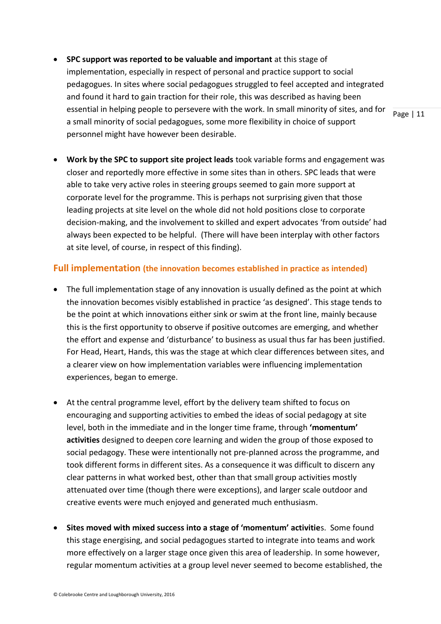**SPC support was reported to be valuable and important** at this stage of implementation, especially in respect of personal and practice support to social pedagogues. In sites where social pedagogues struggled to feel accepted and integrated and found it hard to gain traction for their role, this was described as having been essential in helping people to persevere with the work. In small minority of sites, and for a small minority of social pedagogues, some more flexibility in choice of support personnel might have however been desirable.

Page | 11

 **Work by the SPC to support site project leads** took variable forms and engagement was closer and reportedly more effective in some sites than in others. SPC leads that were able to take very active roles in steering groups seemed to gain more support at corporate level for the programme. This is perhaps not surprising given that those leading projects at site level on the whole did not hold positions close to corporate decision-making, and the involvement to skilled and expert advocates 'from outside' had always been expected to be helpful. (There will have been interplay with other factors at site level, of course, in respect of this finding).

### **Full implementation (the innovation becomes established in practice as intended)**

- The full implementation stage of any innovation is usually defined as the point at which the innovation becomes visibly established in practice 'as designed'. This stage tends to be the point at which innovations either sink or swim at the front line, mainly because this is the first opportunity to observe if positive outcomes are emerging, and whether the effort and expense and 'disturbance' to business as usual thus far has been justified. For Head, Heart, Hands, this was the stage at which clear differences between sites, and a clearer view on how implementation variables were influencing implementation experiences, began to emerge.
- At the central programme level, effort by the delivery team shifted to focus on encouraging and supporting activities to embed the ideas of social pedagogy at site level, both in the immediate and in the longer time frame, through **'momentum' activities** designed to deepen core learning and widen the group of those exposed to social pedagogy. These were intentionally not pre-planned across the programme, and took different forms in different sites. As a consequence it was difficult to discern any clear patterns in what worked best, other than that small group activities mostly attenuated over time (though there were exceptions), and larger scale outdoor and creative events were much enjoyed and generated much enthusiasm.
- **Sites moved with mixed success into a stage of 'momentum' activitie**s. Some found this stage energising, and social pedagogues started to integrate into teams and work more effectively on a larger stage once given this area of leadership. In some however, regular momentum activities at a group level never seemed to become established, the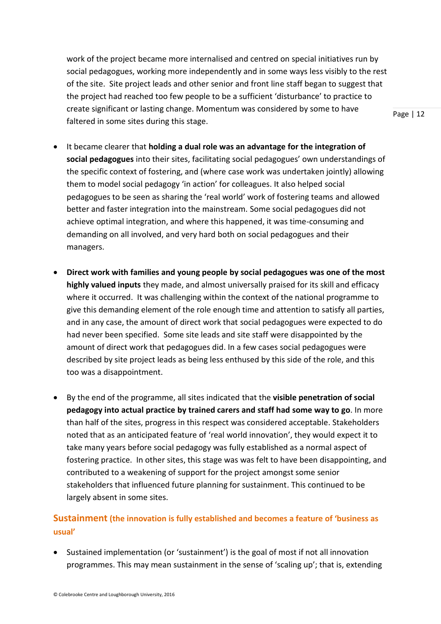work of the project became more internalised and centred on special initiatives run by social pedagogues, working more independently and in some ways less visibly to the rest of the site. Site project leads and other senior and front line staff began to suggest that the project had reached too few people to be a sufficient 'disturbance' to practice to create significant or lasting change. Momentum was considered by some to have faltered in some sites during this stage.

- It became clearer that **holding a dual role was an advantage for the integration of social pedagogues** into their sites, facilitating social pedagogues' own understandings of the specific context of fostering, and (where case work was undertaken jointly) allowing them to model social pedagogy 'in action' for colleagues. It also helped social pedagogues to be seen as sharing the 'real world' work of fostering teams and allowed better and faster integration into the mainstream. Some social pedagogues did not achieve optimal integration, and where this happened, it was time-consuming and demanding on all involved, and very hard both on social pedagogues and their
	- **Direct work with families and young people by social pedagogues was one of the most highly valued inputs** they made, and almost universally praised for its skill and efficacy where it occurred. It was challenging within the context of the national programme to give this demanding element of the role enough time and attention to satisfy all parties, and in any case, the amount of direct work that social pedagogues were expected to do had never been specified. Some site leads and site staff were disappointed by the amount of direct work that pedagogues did. In a few cases social pedagogues were described by site project leads as being less enthused by this side of the role, and this too was a disappointment.
	- By the end of the programme, all sites indicated that the **visible penetration of social pedagogy into actual practice by trained carers and staff had some way to go**. In more than half of the sites, progress in this respect was considered acceptable. Stakeholders noted that as an anticipated feature of 'real world innovation', they would expect it to take many years before social pedagogy was fully established as a normal aspect of fostering practice. In other sites, this stage was was felt to have been disappointing, and contributed to a weakening of support for the project amongst some senior stakeholders that influenced future planning for sustainment. This continued to be largely absent in some sites.

## **Sustainment (the innovation is fully established and becomes a feature of 'business as usual'**

 Sustained implementation (or 'sustainment') is the goal of most if not all innovation programmes. This may mean sustainment in the sense of 'scaling up'; that is, extending Page | 12

managers.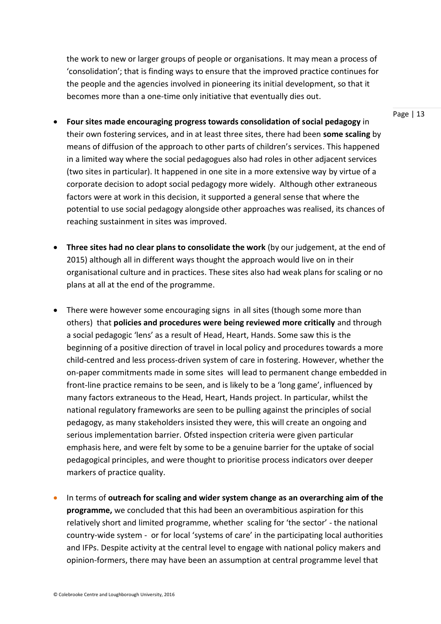the work to new or larger groups of people or organisations. It may mean a process of 'consolidation'; that is finding ways to ensure that the improved practice continues for the people and the agencies involved in pioneering its initial development, so that it becomes more than a one-time only initiative that eventually dies out.

- **Four sites made encouraging progress towards consolidation of social pedagogy** in their own fostering services, and in at least three sites, there had been **some scaling** by means of diffusion of the approach to other parts of children's services. This happened in a limited way where the social pedagogues also had roles in other adjacent services (two sites in particular). It happened in one site in a more extensive way by virtue of a corporate decision to adopt social pedagogy more widely. Although other extraneous factors were at work in this decision, it supported a general sense that where the potential to use social pedagogy alongside other approaches was realised, its chances of reaching sustainment in sites was improved.
- **Three sites had no clear plans to consolidate the work** (by our judgement, at the end of 2015) although all in different ways thought the approach would live on in their organisational culture and in practices. These sites also had weak plans for scaling or no plans at all at the end of the programme.
- There were however some encouraging signs in all sites (though some more than others) that **policies and procedures were being reviewed more critically** and through a social pedagogic 'lens' as a result of Head, Heart, Hands. Some saw this is the beginning of a positive direction of travel in local policy and procedures towards a more child-centred and less process-driven system of care in fostering. However, whether the on-paper commitments made in some sites will lead to permanent change embedded in front-line practice remains to be seen, and is likely to be a 'long game', influenced by many factors extraneous to the Head, Heart, Hands project. In particular, whilst the national regulatory frameworks are seen to be pulling against the principles of social pedagogy, as many stakeholders insisted they were, this will create an ongoing and serious implementation barrier. Ofsted inspection criteria were given particular emphasis here, and were felt by some to be a genuine barrier for the uptake of social pedagogical principles, and were thought to prioritise process indicators over deeper markers of practice quality.
- In terms of **outreach for scaling and wider system change as an overarching aim of the programme,** we concluded that this had been an overambitious aspiration for this relatively short and limited programme, whether scaling for 'the sector' - the national country-wide system - or for local 'systems of care' in the participating local authorities and IFPs. Despite activity at the central level to engage with national policy makers and opinion-formers, there may have been an assumption at central programme level that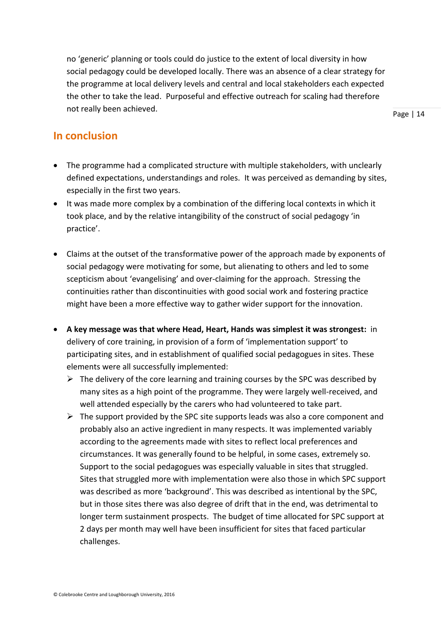no 'generic' planning or tools could do justice to the extent of local diversity in how social pedagogy could be developed locally. There was an absence of a clear strategy for the programme at local delivery levels and central and local stakeholders each expected the other to take the lead. Purposeful and effective outreach for scaling had therefore not really been achieved.

Page | 14

# **In conclusion**

- The programme had a complicated structure with multiple stakeholders, with unclearly defined expectations, understandings and roles. It was perceived as demanding by sites, especially in the first two years.
- It was made more complex by a combination of the differing local contexts in which it took place, and by the relative intangibility of the construct of social pedagogy 'in practice'.
- Claims at the outset of the transformative power of the approach made by exponents of social pedagogy were motivating for some, but alienating to others and led to some scepticism about 'evangelising' and over-claiming for the approach. Stressing the continuities rather than discontinuities with good social work and fostering practice might have been a more effective way to gather wider support for the innovation.
- **A key message was that where Head, Heart, Hands was simplest it was strongest:** in delivery of core training, in provision of a form of 'implementation support' to participating sites, and in establishment of qualified social pedagogues in sites. These elements were all successfully implemented:
	- $\triangleright$  The delivery of the core learning and training courses by the SPC was described by many sites as a high point of the programme. They were largely well-received, and well attended especially by the carers who had volunteered to take part.
	- $\triangleright$  The support provided by the SPC site supports leads was also a core component and probably also an active ingredient in many respects. It was implemented variably according to the agreements made with sites to reflect local preferences and circumstances. It was generally found to be helpful, in some cases, extremely so. Support to the social pedagogues was especially valuable in sites that struggled. Sites that struggled more with implementation were also those in which SPC support was described as more 'background'. This was described as intentional by the SPC, but in those sites there was also degree of drift that in the end, was detrimental to longer term sustainment prospects. The budget of time allocated for SPC support at 2 days per month may well have been insufficient for sites that faced particular challenges.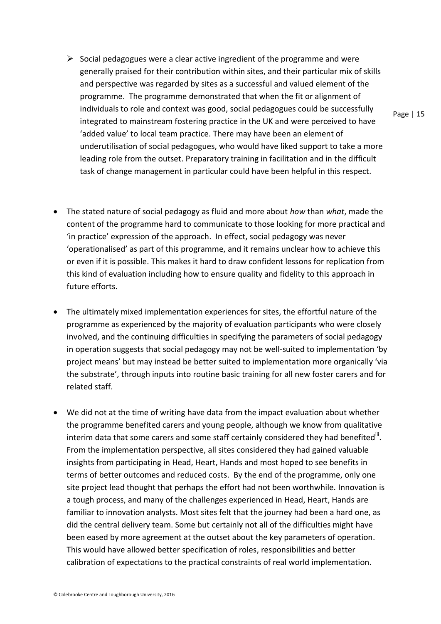- $\triangleright$  Social pedagogues were a clear active ingredient of the programme and were generally praised for their contribution within sites, and their particular mix of skills and perspective was regarded by sites as a successful and valued element of the programme. The programme demonstrated that when the fit or alignment of individuals to role and context was good, social pedagogues could be successfully integrated to mainstream fostering practice in the UK and were perceived to have 'added value' to local team practice. There may have been an element of underutilisation of social pedagogues, who would have liked support to take a more leading role from the outset. Preparatory training in facilitation and in the difficult task of change management in particular could have been helpful in this respect.
- The stated nature of social pedagogy as fluid and more about *how* than *what*, made the content of the programme hard to communicate to those looking for more practical and 'in practice' expression of the approach. In effect, social pedagogy was never 'operationalised' as part of this programme, and it remains unclear how to achieve this or even if it is possible. This makes it hard to draw confident lessons for replication from this kind of evaluation including how to ensure quality and fidelity to this approach in future efforts.
- The ultimately mixed implementation experiences for sites, the effortful nature of the programme as experienced by the majority of evaluation participants who were closely involved, and the continuing difficulties in specifying the parameters of social pedagogy in operation suggests that social pedagogy may not be well-suited to implementation 'by project means' but may instead be better suited to implementation more organically 'via the substrate', through inputs into routine basic training for all new foster carers and for related staff.
- We did not at the time of writing have data from the impact evaluation about whether the programme benefited carers and young people, although we know from qualitative interim data that some carers and some staff certainly considered they had benefited $^{\text{iii}}$ . From the implementation perspective, all sites considered they had gained valuable insights from participating in Head, Heart, Hands and most hoped to see benefits in terms of better outcomes and reduced costs. By the end of the programme, only one site project lead thought that perhaps the effort had not been worthwhile. Innovation is a tough process, and many of the challenges experienced in Head, Heart, Hands are familiar to innovation analysts. Most sites felt that the journey had been a hard one, as did the central delivery team. Some but certainly not all of the difficulties might have been eased by more agreement at the outset about the key parameters of operation. This would have allowed better specification of roles, responsibilities and better calibration of expectations to the practical constraints of real world implementation.